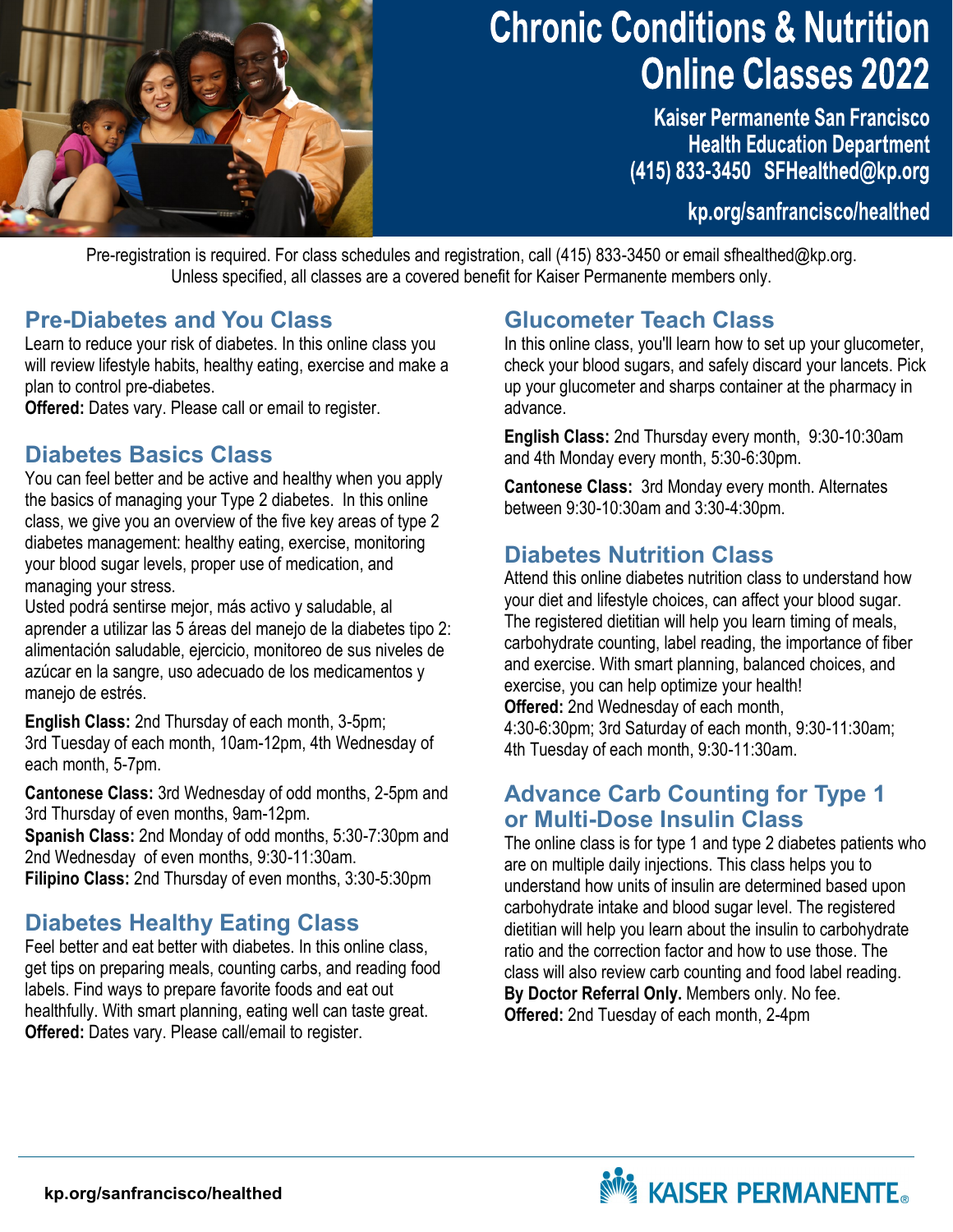

# **Chronic Conditions & Nutrition Online Classes 2022**

**Kaiser Permanente San Francisco Health Education Department** (415) 833-3450 SFHealthed@kp.org

kp.org/sanfrancisco/healthed

Pre-registration is required. For class schedules and registration, call (415) 833-3450 or email sfhealthed@kp.org. Unless specified, all classes are a covered benefit for Kaiser Permanente members only.

#### **Pre-Diabetes and You Class**

Learn to reduce your risk of diabetes. In this online class you will review lifestyle habits, healthy eating, exercise and make a plan to control pre-diabetes.

**Offered:** Dates vary. Please call or email to register.

#### **Diabetes Basics Class**

You can feel better and be active and healthy when you apply the basics of managing your Type 2 diabetes. In this online class, we give you an overview of the five key areas of type 2 diabetes management: healthy eating, exercise, monitoring your blood sugar levels, proper use of medication, and managing your stress.

Usted podrá sentirse mejor, más activo y saludable, al aprender a utilizar las 5 áreas del manejo de la diabetes tipo 2: alimentación saludable, ejercicio, monitoreo de sus niveles de azúcar en la sangre, uso adecuado de los medicamentos y manejo de estrés.

**English Class:** 2nd Thursday of each month, 3-5pm; 3rd Tuesday of each month, 10am-12pm, 4th Wednesday of each month, 5-7pm.

**Cantonese Class:** 3rd Wednesday of odd months, 2-5pm and 3rd Thursday of even months, 9am-12pm.

**Spanish Class:** 2nd Monday of odd months, 5:30-7:30pm and 2nd Wednesday of even months, 9:30-11:30am. **Filipino Class:** 2nd Thursday of even months, 3:30-5:30pm

## **Diabetes Healthy Eating Class**

Feel better and eat better with diabetes. In this online class, get tips on preparing meals, counting carbs, and reading food labels. Find ways to prepare favorite foods and eat out healthfully. With smart planning, eating well can taste great. **Offered:** Dates vary. Please call/email to register.

## **Glucometer Teach Class**

In this online class, you'll learn how to set up your glucometer, check your blood sugars, and safely discard your lancets. Pick up your glucometer and sharps container at the pharmacy in advance.

**English Class:** 2nd Thursday every month, 9:30-10:30am and 4th Monday every month, 5:30-6:30pm.

**Cantonese Class:** 3rd Monday every month. Alternates between 9:30-10:30am and 3:30-4:30pm.

## **Diabetes Nutrition Class**

Attend this online diabetes nutrition class to understand how your diet and lifestyle choices, can affect your blood sugar. The registered dietitian will help you learn timing of meals, carbohydrate counting, label reading, the importance of fiber and exercise. With smart planning, balanced choices, and exercise, you can help optimize your health!

**Offered:** 2nd Wednesday of each month,

4:30-6:30pm; 3rd Saturday of each month, 9:30-11:30am; 4th Tuesday of each month, 9:30-11:30am.

#### **Advance Carb Counting for Type 1 or Multi-Dose Insulin Class**

The online class is for type 1 and type 2 diabetes patients who are on multiple daily injections. This class helps you to understand how units of insulin are determined based upon carbohydrate intake and blood sugar level. The registered dietitian will help you learn about the insulin to carbohydrate ratio and the correction factor and how to use those. The class will also review carb counting and food label reading. **By Doctor Referral Only.** Members only. No fee. **Offered:** 2nd Tuesday of each month, 2-4pm